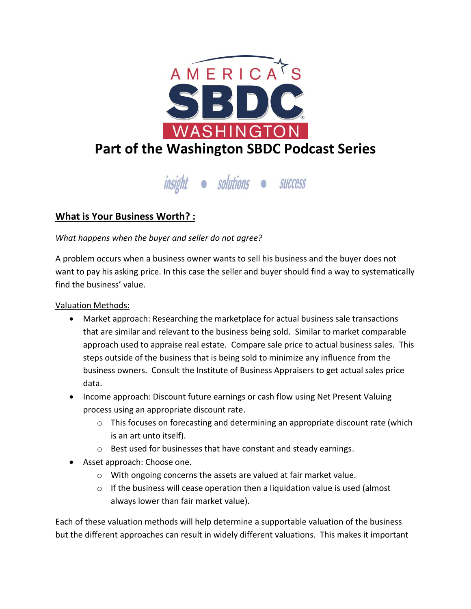

insight · solutions · success

## **What is Your Business Worth? :**

*What happens when the buyer and seller do not agree?*

A problem occurs when a business owner wants to sell his business and the buyer does not want to pay his asking price. In this case the seller and buyer should find a way to systematically find the business' value.

Valuation Methods:

- Market approach: Researching the marketplace for actual business sale transactions that are similar and relevant to the business being sold. Similar to market comparable approach used to appraise real estate. Compare sale price to actual business sales. This steps outside of the business that is being sold to minimize any influence from the business owners. Consult the Institute of Business Appraisers to get actual sales price data.
- Income approach: Discount future earnings or cash flow using Net Present Valuing process using an appropriate discount rate.
	- o This focuses on forecasting and determining an appropriate discount rate (which is an art unto itself).
	- o Best used for businesses that have constant and steady earnings.
- Asset approach: Choose one.
	- o With ongoing concerns the assets are valued at fair market value.
	- $\circ$  If the business will cease operation then a liquidation value is used (almost always lower than fair market value).

Each of these valuation methods will help determine a supportable valuation of the business but the different approaches can result in widely different valuations. This makes it important